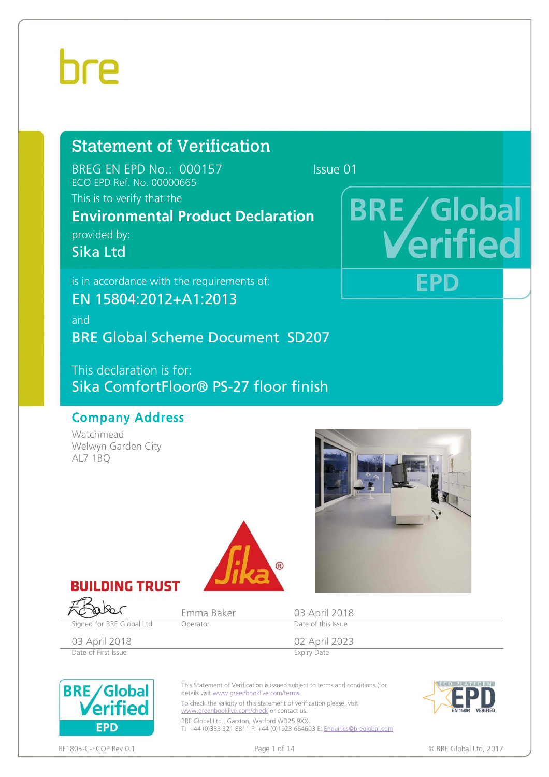# hre

# Statement of Verification

BREG EN EPD No.: 000157 Issue 01 ECO EPD Ref. No. 00000665

**BRE/Global** 

FPD

# This is to verify that the

# **Environmental Product Declaration**

provided by:

Sika Ltd

is in accordance with the requirements of:

EN 15804:2012+A1:2013

and

BRE Global Scheme Document SD207

This declaration is for: Sika ComfortFloor® PS-27 floor finish

# Company Address

Watchmead Welwyn Garden City AL7 1BQ





aka

Signed for BRE Global Ltd Operator



Emma Baker 03 April 2018<br>
Operator Date of this Issue

03 April 2018 02 April 2023 Date of First Issue **Expiry Date** 



This Statement of Verification is issued subject to terms and conditions (for details visit [www.greenbooklive.com/terms](http://www.greenbooklive.com/terms).

To check the validity of this statement of verification please, visit [www.greenbooklive.com/check](http://www.greenbooklive.com/check) or contact us.

BRE Global Ltd., Garston, Watford WD25 9XX. T: +44 (0)333 321 8811 F: +44 (0)1923 664603 E: [Enquiries@breglobal.com](mailto:Enquiries@breglobal.com)



#### BF1805-C-ECOP Rev 0.1 Page 1 of 14 © BRE Global Ltd, 2017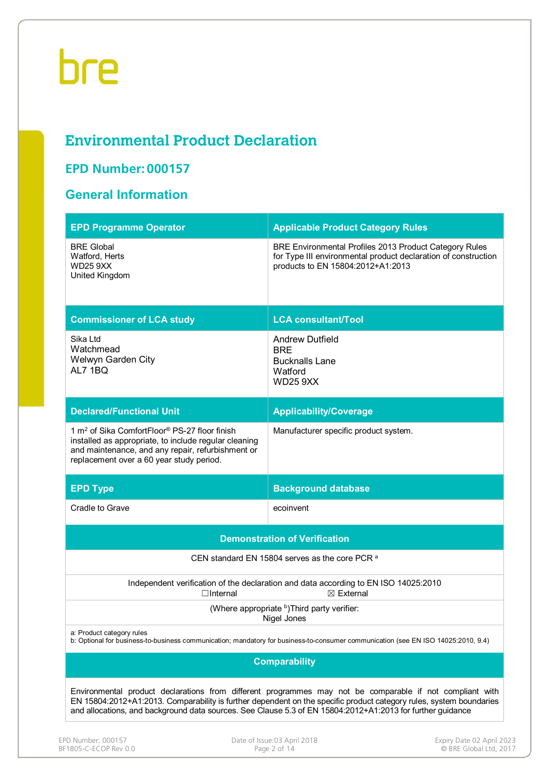# **Environmental Product Declaration**

# **EPD Number: 000157**

# **General Information**

| <b>EPD Programme Operator</b>                                                                                                                                                                                       | <b>Applicable Product Category Rules</b>                                                                                                                      |  |  |  |  |  |  |  |
|---------------------------------------------------------------------------------------------------------------------------------------------------------------------------------------------------------------------|---------------------------------------------------------------------------------------------------------------------------------------------------------------|--|--|--|--|--|--|--|
| <b>BRE Global</b><br>Watford, Herts<br><b>WD25 9XX</b><br>United Kingdom                                                                                                                                            | BRE Environmental Profiles 2013 Product Category Rules<br>for Type III environmental product declaration of construction<br>products to EN 15804:2012+A1:2013 |  |  |  |  |  |  |  |
| <b>Commissioner of LCA study</b>                                                                                                                                                                                    | <b>LCA consultant/Tool</b>                                                                                                                                    |  |  |  |  |  |  |  |
| Sika Ltd<br>Watchmead<br>Welwyn Garden City<br>AL7 1BQ                                                                                                                                                              | <b>Andrew Dutfield</b><br><b>BRE</b><br><b>Bucknalls Lane</b><br>Watford<br><b>WD25 9XX</b>                                                                   |  |  |  |  |  |  |  |
| <b>Declared/Functional Unit</b>                                                                                                                                                                                     | <b>Applicability/Coverage</b>                                                                                                                                 |  |  |  |  |  |  |  |
| 1 m <sup>2</sup> of Sika ComfortFloor® PS-27 floor finish<br>installed as appropriate, to include regular cleaning<br>and maintenance, and any repair, refurbishment or<br>replacement over a 60 year study period. | Manufacturer specific product system.                                                                                                                         |  |  |  |  |  |  |  |
| <b>EPD Type</b>                                                                                                                                                                                                     | <b>Background database</b>                                                                                                                                    |  |  |  |  |  |  |  |
| Cradle to Grave                                                                                                                                                                                                     | ecoinvent                                                                                                                                                     |  |  |  |  |  |  |  |
| <b>Demonstration of Verification</b>                                                                                                                                                                                |                                                                                                                                                               |  |  |  |  |  |  |  |
|                                                                                                                                                                                                                     |                                                                                                                                                               |  |  |  |  |  |  |  |
|                                                                                                                                                                                                                     | CEN standard EN 15804 serves as the core PCR a                                                                                                                |  |  |  |  |  |  |  |
| $\Box$ Internal                                                                                                                                                                                                     | Independent verification of the declaration and data according to EN ISO 14025:2010<br>$\boxtimes$ External                                                   |  |  |  |  |  |  |  |
|                                                                                                                                                                                                                     | (Where appropriate b)Third party verifier:<br>Nigel Jones                                                                                                     |  |  |  |  |  |  |  |
| a: Product category rules                                                                                                                                                                                           | b: Optional for business-to-business communication; mandatory for business-to-consumer communication (see EN ISO 14025:2010, 9.4)                             |  |  |  |  |  |  |  |
|                                                                                                                                                                                                                     | <b>Comparability</b>                                                                                                                                          |  |  |  |  |  |  |  |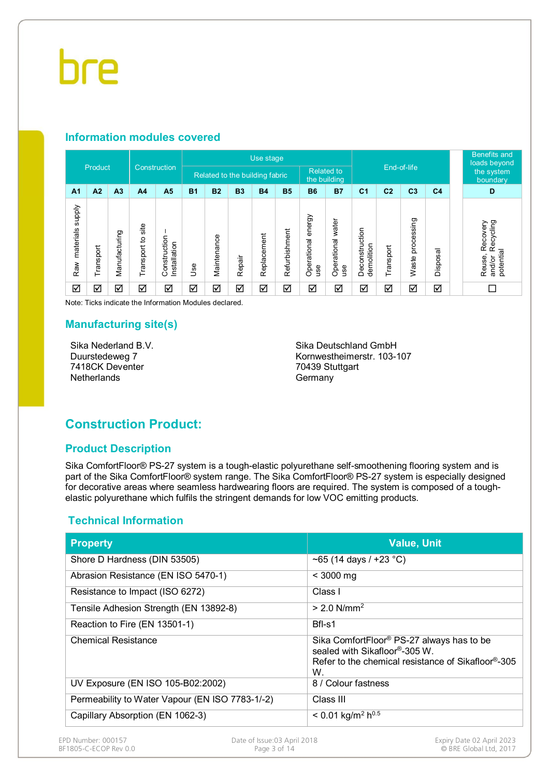### **Information modules covered**

|                                   |           |                |                      |                              |            |             |                                | Use stage   |               |                              |                                   |                              |                |                     |                        | <b>Benefits and</b><br>loads beyond                    |
|-----------------------------------|-----------|----------------|----------------------|------------------------------|------------|-------------|--------------------------------|-------------|---------------|------------------------------|-----------------------------------|------------------------------|----------------|---------------------|------------------------|--------------------------------------------------------|
|                                   | Product   |                |                      | Construction                 |            |             | Related to the building fabric |             |               |                              | <b>Related to</b><br>the building | End-of-life                  |                |                     | the system<br>boundary |                                                        |
| A <sub>1</sub>                    | A2        | A <sub>3</sub> | A <sub>4</sub>       | A <sub>5</sub>               | <b>B1</b>  | <b>B2</b>   | <b>B3</b>                      | <b>B4</b>   | <b>B5</b>     | <b>B6</b>                    | <b>B7</b>                         | C <sub>1</sub>               | C <sub>2</sub> | C <sub>3</sub>      | C <sub>4</sub>         | D                                                      |
| <b>Alddns</b><br>materials<br>Raw | Transport | Manufacturing  | site<br>Transport to | Construction<br>Installation | <b>Jse</b> | Maintenance | Repair                         | Replacement | Refurbishment | energy<br>Operational<br>use | water<br>Operational<br>use       | Deconstruction<br>demolition | Transport      | processing<br>Waste | Disposal               | Recycling<br>Recovery<br>potential<br>Reuse,<br>and/or |
| ☑                                 | ⊻         | ☑              | ☑                    | ☑                            | ☑          | ☑           | ☑                              | ☑           | ☑             | ☑                            | ☑                                 | ☑                            | ☑              | ☑                   | ☑                      | П                                                      |

Note: Ticks indicate the Information Modules declared.

#### **Manufacturing site(s)**

Sika Nederland B.V. Duurstedeweg 7 7418CK Deventer **Netherlands** 

Sika Deutschland GmbH Kornwestheimerstr. 103-107 70439 Stuttgart **Germany** 

# **Construction Product:**

#### **Product Description**

Sika ComfortFloor® PS-27 system is a tough-elastic polyurethane self-smoothening flooring system and is part of the Sika ComfortFloor® system range. The Sika ComfortFloor® PS-27 system is especially designed for decorative areas where seamless hardwearing floors are required. The system is composed of a toughelastic polyurethane which fulfils the stringent demands for low VOC emitting products.

### **Technical Information**

| <b>Property</b>                                 | <b>Value, Unit</b>                                                                                                                                 |
|-------------------------------------------------|----------------------------------------------------------------------------------------------------------------------------------------------------|
| Shore D Hardness (DIN 53505)                    | ~65 (14 days / +23 $^{\circ}$ C)                                                                                                                   |
| Abrasion Resistance (EN ISO 5470-1)             | $<$ 3000 mg                                                                                                                                        |
| Resistance to Impact (ISO 6272)                 | Class I                                                                                                                                            |
| Tensile Adhesion Strength (EN 13892-8)          | $> 2.0$ N/mm <sup>2</sup>                                                                                                                          |
| Reaction to Fire (EN 13501-1)                   | Bfl-s1                                                                                                                                             |
| <b>Chemical Resistance</b>                      | Sika ComfortFloor <sup>®</sup> PS-27 always has to be<br>sealed with Sikafloor®-305 W.<br>Refer to the chemical resistance of Sikafloor®-305<br>W. |
| UV Exposure (EN ISO 105-B02:2002)               | 8 / Colour fastness                                                                                                                                |
| Permeability to Water Vapour (EN ISO 7783-1/-2) | Class III                                                                                                                                          |
| Capillary Absorption (EN 1062-3)                | $< 0.01$ kg/m <sup>2</sup> h <sup>0.5</sup>                                                                                                        |

BF1805-C-ECOP Rev 0.0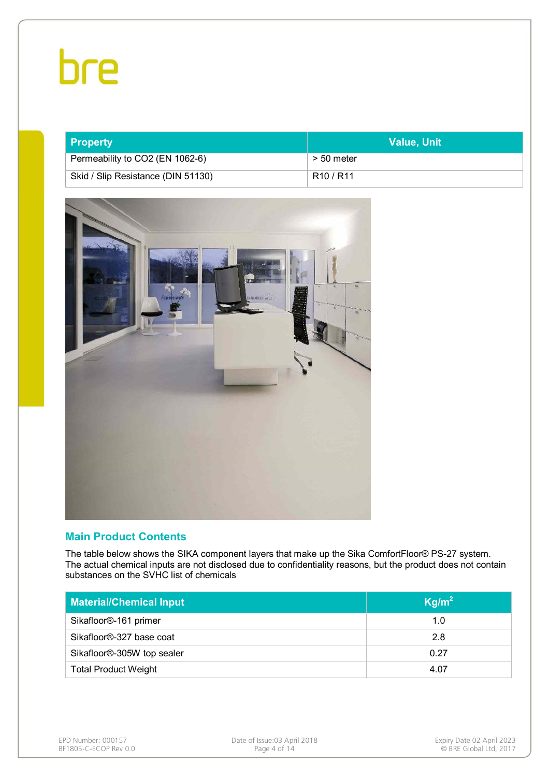| <b>Property</b>                    | <b>Value, Unit</b>                |
|------------------------------------|-----------------------------------|
| Permeability to CO2 (EN 1062-6)    | > 50 meter                        |
| Skid / Slip Resistance (DIN 51130) | R <sub>10</sub> / R <sub>11</sub> |



### **Main Product Contents**

The table below shows the SIKA component layers that make up the Sika ComfortFloor® PS-27 system. The actual chemical inputs are not disclosed due to confidentiality reasons, but the product does not contain substances on the SVHC list of chemicals

| <b>Material/Chemical Input</b> | Kg/m <sup>2</sup> |
|--------------------------------|-------------------|
| Sikafloor®-161 primer          | 1.0               |
| Sikafloor®-327 base coat       | 2.8               |
| Sikafloor®-305W top sealer     | 0.27              |
| <b>Total Product Weight</b>    | 4.07              |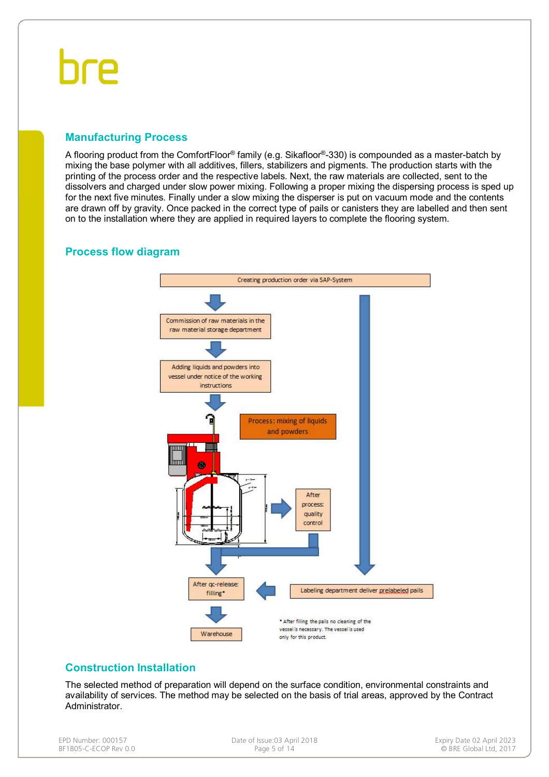# hre

### **Manufacturing Process**

A flooring product from the ComfortFloor® family (e.g. Sikafloor®-330) is compounded as a master-batch by mixing the base polymer with all additives, fillers, stabilizers and pigments. The production starts with the printing of the process order and the respective labels. Next, the raw materials are collected, sent to the dissolvers and charged under slow power mixing. Following a proper mixing the dispersing process is sped up for the next five minutes. Finally under a slow mixing the disperser is put on vacuum mode and the contents are drawn off by gravity. Once packed in the correct type of pails or canisters they are labelled and then sent on to the installation where they are applied in required layers to complete the flooring system.

### **Process flow diagram**



### **Construction Installation**

The selected method of preparation will depend on the surface condition, environmental constraints and availability of services. The method may be selected on the basis of trial areas, approved by the Contract Administrator.

| EPD Number: 000157    |
|-----------------------|
| BF1805-C-ECOP Rev 0.0 |

Expiry Date of Issue:03 April 2018<br>
Page 5 of 14 Case Page 5 of 14 Case Page 14 Case Page 14 Case Page 14 Case Page 14 Case Page 14 Case Page 14 Case Page 14 Case Page 14 Case Page 14 Case Page 14 Case Page 14 Case Page 14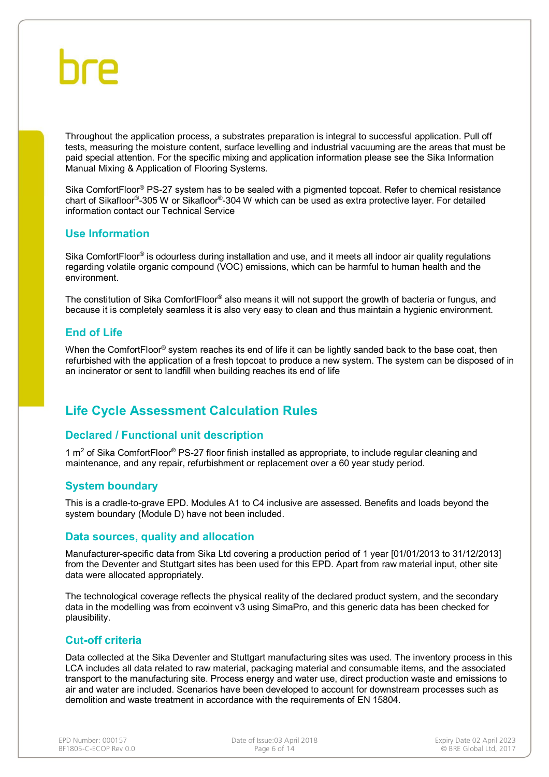Throughout the application process, a substrates preparation is integral to successful application. Pull off tests, measuring the moisture content, surface levelling and industrial vacuuming are the areas that must be paid special attention. For the specific mixing and application information please see the Sika Information Manual Mixing & Application of Flooring Systems.

Sika ComfortFloor® PS-27 system has to be sealed with a pigmented topcoat. Refer to chemical resistance chart of Sikafloor®-305 W or Sikafloor®-304 W which can be used as extra protective layer. For detailed information contact our Technical Service

#### **Use Information**

Sika ComfortFloor<sup>®</sup> is odourless during installation and use, and it meets all indoor air quality regulations regarding volatile organic compound (VOC) emissions, which can be harmful to human health and the environment.

The constitution of Sika ComfortFloor® also means it will not support the growth of bacteria or fungus, and because it is completely seamless it is also very easy to clean and thus maintain a hygienic environment.

### **End of Life**

When the ComfortFloor® system reaches its end of life it can be lightly sanded back to the base coat, then refurbished with the application of a fresh topcoat to produce a new system. The system can be disposed of in an incinerator or sent to landfill when building reaches its end of life

# **Life Cycle Assessment Calculation Rules**

### **Declared / Functional unit description**

1  $m<sup>2</sup>$  of Sika ComfortFloor<sup>®</sup> PS-27 floor finish installed as appropriate, to include regular cleaning and maintenance, and any repair, refurbishment or replacement over a 60 year study period.

#### **System boundary**

This is a cradle-to-grave EPD. Modules A1 to C4 inclusive are assessed. Benefits and loads beyond the system boundary (Module D) have not been included.

#### **Data sources, quality and allocation**

Manufacturer-specific data from Sika Ltd covering a production period of 1 year [01/01/2013 to 31/12/2013] from the Deventer and Stuttgart sites has been used for this EPD. Apart from raw material input, other site data were allocated appropriately.

The technological coverage reflects the physical reality of the declared product system, and the secondary data in the modelling was from ecoinvent v3 using SimaPro, and this generic data has been checked for plausibility.

#### **Cut-off criteria**

Data collected at the Sika Deventer and Stuttgart manufacturing sites was used. The inventory process in this LCA includes all data related to raw material, packaging material and consumable items, and the associated transport to the manufacturing site. Process energy and water use, direct production waste and emissions to air and water are included. Scenarios have been developed to account for downstream processes such as demolition and waste treatment in accordance with the requirements of EN 15804.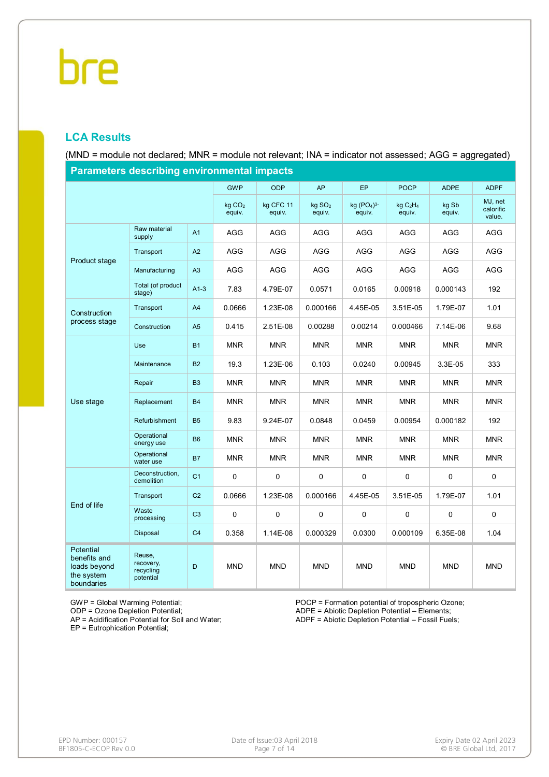## **LCA Results**

(MND = module not declared; MNR = module not relevant; INA = indicator not assessed; AGG = aggregated)

| <b>Parameters describing environmental impacts</b>                           |                                               |                |                              |                     |                              |                       |                                            |                 |                                |  |
|------------------------------------------------------------------------------|-----------------------------------------------|----------------|------------------------------|---------------------|------------------------------|-----------------------|--------------------------------------------|-----------------|--------------------------------|--|
|                                                                              |                                               |                | <b>GWP</b>                   | <b>ODP</b>          | AP                           | EP                    | <b>POCP</b>                                | <b>ADPE</b>     | <b>ADPF</b>                    |  |
|                                                                              |                                               |                | kg CO <sub>2</sub><br>equiv. | kg CFC 11<br>equiv. | kg SO <sub>2</sub><br>equiv. | kg $(PO4)3$<br>equiv. | kg C <sub>2</sub> H <sub>4</sub><br>equiv. | kg Sb<br>equiv. | MJ, net<br>calorific<br>value. |  |
| Product stage<br>Construction<br>process stage                               | Raw material<br>supply                        | A1             | AGG                          | AGG                 | AGG                          | AGG                   | AGG                                        | AGG             | AGG                            |  |
|                                                                              | Transport                                     | A2             | AGG                          | <b>AGG</b>          | AGG                          | <b>AGG</b>            | <b>AGG</b>                                 | <b>AGG</b>      | AGG                            |  |
|                                                                              | Manufacturing                                 | A <sub>3</sub> | <b>AGG</b>                   | <b>AGG</b>          | AGG                          | AGG                   | <b>AGG</b>                                 | AGG             | AGG                            |  |
|                                                                              | Total (of product<br>stage)                   | $A1-3$         | 7.83                         | 4.79E-07            | 0.0571                       | 0.0165                | 0.00918                                    | 0.000143        | 192                            |  |
|                                                                              | Transport                                     | A4             | 0.0666                       | 1.23E-08            | 0.000166                     | 4.45E-05              | 3.51E-05                                   | 1.79E-07        | 1.01                           |  |
|                                                                              | Construction                                  | A <sub>5</sub> | 0.415                        | 2.51E-08            | 0.00288                      | 0.00214               | 0.000466                                   | 7.14E-06        | 9.68                           |  |
|                                                                              | Use                                           | <b>B1</b>      | <b>MNR</b>                   | <b>MNR</b>          | <b>MNR</b>                   | <b>MNR</b>            | <b>MNR</b>                                 | <b>MNR</b>      | <b>MNR</b>                     |  |
|                                                                              | Maintenance                                   | <b>B2</b>      | 19.3                         | 1.23E-06            | 0.103                        | 0.0240                | 0.00945                                    | 3.3E-05         | 333                            |  |
|                                                                              | Repair                                        | B <sub>3</sub> | <b>MNR</b>                   | <b>MNR</b>          | <b>MNR</b>                   | <b>MNR</b>            | <b>MNR</b>                                 | <b>MNR</b>      | <b>MNR</b>                     |  |
| Use stage                                                                    | Replacement                                   | <b>B4</b>      | <b>MNR</b>                   | <b>MNR</b>          | <b>MNR</b>                   | <b>MNR</b>            | <b>MNR</b>                                 | <b>MNR</b>      | <b>MNR</b>                     |  |
|                                                                              | Refurbishment                                 | <b>B5</b>      | 9.83                         | 9.24E-07            | 0.0848                       | 0.0459                | 0.00954                                    | 0.000182        | 192                            |  |
|                                                                              | Operational<br>energy use                     | <b>B6</b>      | <b>MNR</b>                   | <b>MNR</b>          | <b>MNR</b>                   | <b>MNR</b>            | <b>MNR</b>                                 | <b>MNR</b>      | <b>MNR</b>                     |  |
|                                                                              | Operational<br>water use                      | <b>B7</b>      | <b>MNR</b>                   | <b>MNR</b>          | <b>MNR</b>                   | <b>MNR</b>            | <b>MNR</b>                                 | <b>MNR</b>      | <b>MNR</b>                     |  |
|                                                                              | Deconstruction,<br>demolition                 | C <sub>1</sub> | 0                            | 0                   | 0                            | 0                     | $\mathbf 0$                                | 0               | $\mathsf 0$                    |  |
| End of life                                                                  | Transport                                     | C <sub>2</sub> | 0.0666                       | 1.23E-08            | 0.000166                     | 4.45E-05              | 3.51E-05                                   | 1.79E-07        | 1.01                           |  |
|                                                                              | Waste<br>processing                           | C <sub>3</sub> | 0                            | $\pmb{0}$           | 0                            | 0                     | 0                                          | 0               | $\mathbf 0$                    |  |
|                                                                              | Disposal                                      | C <sub>4</sub> | 0.358                        | 1.14E-08            | 0.000329                     | 0.0300                | 0.000109                                   | 6.35E-08        | 1.04                           |  |
| <b>Potential</b><br>benefits and<br>loads beyond<br>the system<br>boundaries | Reuse,<br>recovery,<br>recycling<br>potential | D              | <b>MND</b>                   | <b>MND</b>          | <b>MND</b>                   | <b>MND</b>            | <b>MND</b>                                 | <b>MND</b>      | <b>MND</b>                     |  |

GWP = Global Warming Potential;

ODP = Ozone Depletion Potential;

AP = Acidification Potential for Soil and Water;

EP = Eutrophication Potential;

POCP = Formation potential of tropospheric Ozone; ADPE = Abiotic Depletion Potential – Elements;

ADPF = Abiotic Depletion Potential – Fossil Fuels;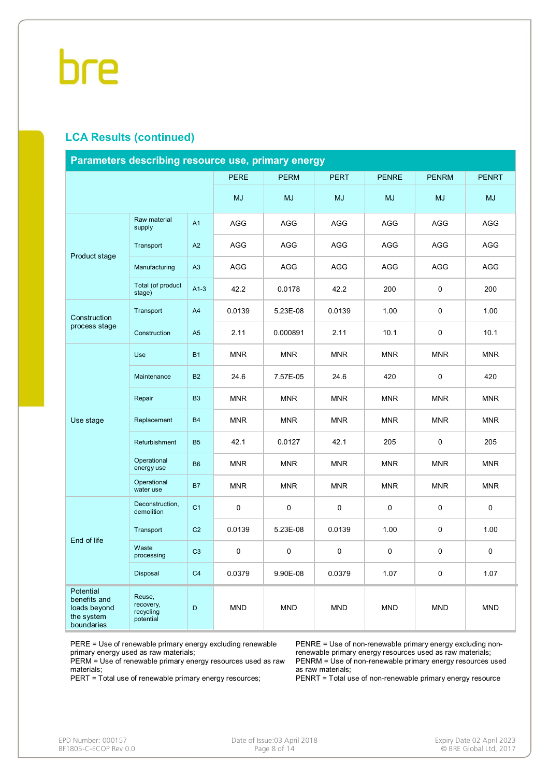### **LCA Results (continued)**

| Parameters describing resource use, primary energy                    |                                               |                |             |             |                          |              |              |              |  |  |
|-----------------------------------------------------------------------|-----------------------------------------------|----------------|-------------|-------------|--------------------------|--------------|--------------|--------------|--|--|
|                                                                       |                                               |                | <b>PERE</b> | <b>PERM</b> | <b>PERT</b>              | <b>PENRE</b> | <b>PENRM</b> | <b>PENRT</b> |  |  |
|                                                                       |                                               |                | <b>MJ</b>   | <b>MJ</b>   | <b>MJ</b>                | <b>MJ</b>    | <b>MJ</b>    | <b>MJ</b>    |  |  |
| Product stage                                                         | Raw material<br>supply                        | A1             | <b>AGG</b>  | <b>AGG</b>  | <b>AGG</b>               | <b>AGG</b>   | <b>AGG</b>   | AGG          |  |  |
|                                                                       | Transport                                     | A2             | AGG         | AGG         | AGG                      | AGG          | AGG          | AGG          |  |  |
|                                                                       | Manufacturing                                 | A3             | <b>AGG</b>  | <b>AGG</b>  | <b>AGG</b>               | <b>AGG</b>   | <b>AGG</b>   | <b>AGG</b>   |  |  |
|                                                                       | Total (of product<br>stage)                   | $A1-3$         | 42.2        | 0.0178      | 42.2                     | 200          | $\pmb{0}$    | 200          |  |  |
| Construction                                                          | Transport                                     | A4             | 0.0139      | 5.23E-08    | 0.0139                   | 1.00         | $\mathbf 0$  | 1.00         |  |  |
| process stage                                                         | Construction                                  | A <sub>5</sub> | 2.11        | 0.000891    | 2.11                     | 10.1         | $\pmb{0}$    | 10.1         |  |  |
|                                                                       | Use                                           | <b>B1</b>      | <b>MNR</b>  | <b>MNR</b>  | <b>MNR</b>               | <b>MNR</b>   | <b>MNR</b>   | <b>MNR</b>   |  |  |
|                                                                       | Maintenance                                   | <b>B2</b>      | 24.6        | 7.57E-05    | 24.6                     | 420          | $\pmb{0}$    | 420          |  |  |
|                                                                       | Repair                                        | B <sub>3</sub> | <b>MNR</b>  | <b>MNR</b>  | <b>MNR</b><br><b>MNR</b> |              | <b>MNR</b>   | <b>MNR</b>   |  |  |
| Use stage                                                             | Replacement                                   | <b>B4</b>      | <b>MNR</b>  | <b>MNR</b>  | <b>MNR</b>               | <b>MNR</b>   | <b>MNR</b>   | <b>MNR</b>   |  |  |
|                                                                       | Refurbishment                                 | <b>B5</b>      | 42.1        | 0.0127      | 42.1                     | 205          | $\mathbf 0$  | 205          |  |  |
|                                                                       | Operational<br>energy use                     | <b>B6</b>      | <b>MNR</b>  | <b>MNR</b>  | <b>MNR</b>               | <b>MNR</b>   | <b>MNR</b>   | <b>MNR</b>   |  |  |
|                                                                       | Operational<br>water use                      | <b>B7</b>      | <b>MNR</b>  | <b>MNR</b>  | <b>MNR</b>               | <b>MNR</b>   | <b>MNR</b>   | <b>MNR</b>   |  |  |
|                                                                       | Deconstruction,<br>demolition                 | C <sub>1</sub> | 0           | $\mathsf 0$ | 0                        | 0            | $\pmb{0}$    | 0            |  |  |
|                                                                       | Transport                                     | C <sub>2</sub> | 0.0139      | 5.23E-08    | 0.0139                   | 1.00         | $\mathbf 0$  | 1.00         |  |  |
| End of life                                                           | Waste<br>processing                           | C <sub>3</sub> | 0           | $\pmb{0}$   | 0                        | $\Omega$     | 0            | 0            |  |  |
|                                                                       | Disposal                                      | C <sub>4</sub> | 0.0379      | 9.90E-08    | 0.0379                   | 1.07         | 0            | 1.07         |  |  |
| Potential<br>benefits and<br>loads beyond<br>the system<br>boundaries | Reuse,<br>recovery,<br>recycling<br>potential | D              | <b>MND</b>  | <b>MND</b>  | <b>MND</b>               | <b>MND</b>   | <b>MND</b>   | <b>MND</b>   |  |  |

PERE = Use of renewable primary energy excluding renewable primary energy used as raw materials;

PERM = Use of renewable primary energy resources used as raw materials;

PERT = Total use of renewable primary energy resources;

PENRE = Use of non-renewable primary energy excluding nonrenewable primary energy resources used as raw materials; PENRM = Use of non-renewable primary energy resources used as raw materials;

PENRT = Total use of non-renewable primary energy resource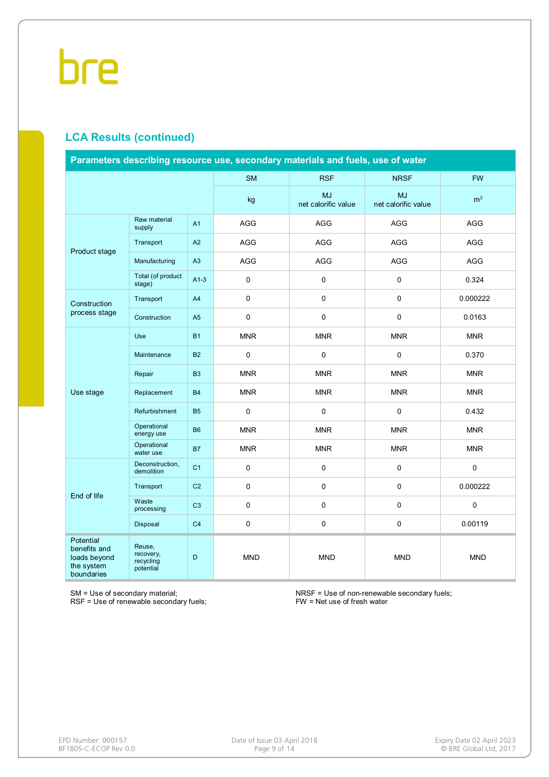## **LCA Results (continued)**

| Parameters describing resource use, secondary materials and fuels, use of water |                                               |                |            |                                  |                                  |                |  |  |
|---------------------------------------------------------------------------------|-----------------------------------------------|----------------|------------|----------------------------------|----------------------------------|----------------|--|--|
|                                                                                 |                                               |                | <b>SM</b>  | <b>RSF</b>                       | <b>NRSF</b>                      | <b>FW</b>      |  |  |
|                                                                                 |                                               |                | kg         | <b>MJ</b><br>net calorific value | <b>MJ</b><br>net calorific value | m <sup>3</sup> |  |  |
|                                                                                 | Raw material<br>supply                        | A <sub>1</sub> | AGG        | AGG                              | AGG                              | <b>AGG</b>     |  |  |
| Product stage                                                                   | Transport                                     | A2             | AGG        | AGG                              | AGG                              | AGG            |  |  |
|                                                                                 | Manufacturing                                 | A3             | AGG        | AGG                              | AGG                              | <b>AGG</b>     |  |  |
|                                                                                 | Total (of product<br>stage)                   | $A1-3$         | 0          | 0                                | 0                                | 0.324          |  |  |
| Construction<br>process stage                                                   | Transport                                     | A <sub>4</sub> | 0          | 0                                | 0                                | 0.000222       |  |  |
|                                                                                 | Construction                                  | A <sub>5</sub> | 0          | 0                                | 0                                | 0.0163         |  |  |
|                                                                                 | <b>Use</b>                                    | <b>B1</b>      | <b>MNR</b> | <b>MNR</b>                       | <b>MNR</b>                       | <b>MNR</b>     |  |  |
|                                                                                 | Maintenance                                   | <b>B2</b>      | 0          | 0                                | 0                                | 0.370          |  |  |
|                                                                                 | Repair                                        | <b>B3</b>      | <b>MNR</b> | <b>MNR</b>                       | <b>MNR</b>                       | <b>MNR</b>     |  |  |
| Use stage                                                                       | Replacement                                   | <b>B4</b>      | <b>MNR</b> | <b>MNR</b>                       | <b>MNR</b>                       | <b>MNR</b>     |  |  |
|                                                                                 | Refurbishment                                 | <b>B5</b>      | 0          | 0                                | 0                                | 0.432          |  |  |
|                                                                                 | Operational<br>energy use                     | <b>B6</b>      | <b>MNR</b> | <b>MNR</b>                       | <b>MNR</b>                       | <b>MNR</b>     |  |  |
|                                                                                 | Operational<br>water use                      | <b>B7</b>      | <b>MNR</b> | <b>MNR</b>                       | <b>MNR</b>                       | <b>MNR</b>     |  |  |
|                                                                                 | Deconstruction,<br>demolition                 | C <sub>1</sub> | 0          | 0                                | 0                                | 0              |  |  |
| End of life                                                                     | Transport                                     | C <sub>2</sub> | 0          | 0                                | $\pmb{0}$                        | 0.000222       |  |  |
|                                                                                 | Waste<br>processing                           | C <sub>3</sub> | 0          | 0                                | 0                                | 0              |  |  |
|                                                                                 | Disposal                                      | C <sub>4</sub> | $\pmb{0}$  | 0                                | 0                                | 0.00119        |  |  |
| Potential<br>benefits and<br>loads beyond<br>the system<br>boundaries           | Reuse,<br>recovery,<br>recycling<br>potential | D              | <b>MND</b> | <b>MND</b>                       | <b>MND</b>                       | <b>MND</b>     |  |  |

SM = Use of secondary material;

RSF = Use of renewable secondary fuels;

NRSF = Use of non-renewable secondary fuels; FW = Net use of fresh water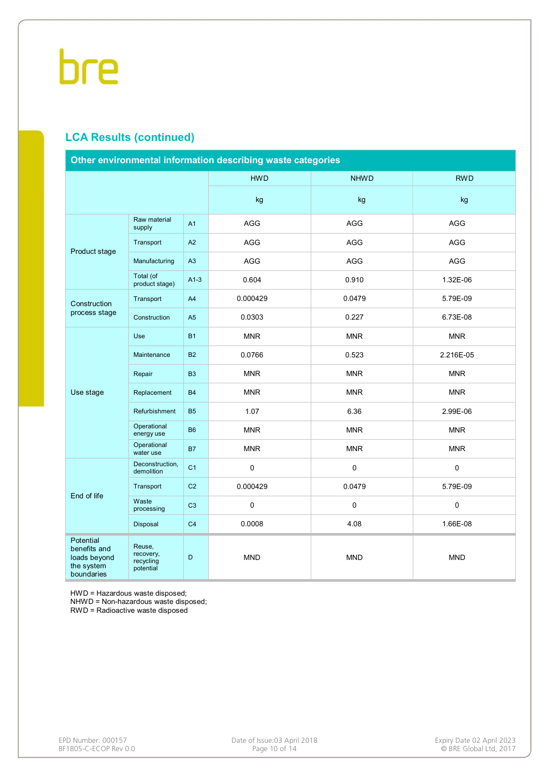# **LCA Results (continued)**

| Other environmental information describing waste categories           |                                               |                |            |             |             |  |  |
|-----------------------------------------------------------------------|-----------------------------------------------|----------------|------------|-------------|-------------|--|--|
|                                                                       |                                               |                | <b>HWD</b> | <b>NHWD</b> | <b>RWD</b>  |  |  |
|                                                                       |                                               |                | kg         | kg          | kg          |  |  |
|                                                                       | Raw material<br>supply                        | A1             | <b>AGG</b> | <b>AGG</b>  | <b>AGG</b>  |  |  |
|                                                                       | Transport                                     | A2             | <b>AGG</b> | <b>AGG</b>  | <b>AGG</b>  |  |  |
| Product stage                                                         | Manufacturing                                 | A3             | AGG        | <b>AGG</b>  | <b>AGG</b>  |  |  |
|                                                                       | Total (of<br>product stage)                   | $A1-3$         | 0.604      | 0.910       | 1.32E-06    |  |  |
| Construction<br>process stage                                         | Transport                                     | A <sub>4</sub> | 0.000429   | 0.0479      | 5.79E-09    |  |  |
|                                                                       | Construction                                  | A <sub>5</sub> | 0.0303     | 0.227       | 6.73E-08    |  |  |
|                                                                       | Use                                           | <b>B1</b>      | <b>MNR</b> | <b>MNR</b>  | <b>MNR</b>  |  |  |
|                                                                       | Maintenance                                   | <b>B2</b>      | 0.0766     | 0.523       | 2.216E-05   |  |  |
|                                                                       | Repair                                        | B <sub>3</sub> | <b>MNR</b> | <b>MNR</b>  | <b>MNR</b>  |  |  |
| Use stage                                                             | Replacement                                   | <b>B4</b>      | <b>MNR</b> | <b>MNR</b>  | <b>MNR</b>  |  |  |
|                                                                       | Refurbishment                                 | <b>B5</b>      | 1.07       | 6.36        | 2.99E-06    |  |  |
|                                                                       | Operational<br>energy use                     | <b>B6</b>      | <b>MNR</b> | <b>MNR</b>  | <b>MNR</b>  |  |  |
|                                                                       | Operational<br>water use                      | <b>B7</b>      | <b>MNR</b> | <b>MNR</b>  | <b>MNR</b>  |  |  |
|                                                                       | Deconstruction,<br>demolition                 | C <sub>1</sub> | 0          | $\mathbf 0$ | $\mathbf 0$ |  |  |
| End of life                                                           | Transport                                     | C <sub>2</sub> | 0.000429   | 0.0479      | 5.79E-09    |  |  |
|                                                                       | Waste<br>processing                           | C <sub>3</sub> | 0          | $\mathbf 0$ | $\pmb{0}$   |  |  |
|                                                                       | Disposal                                      | C <sub>4</sub> | 0.0008     | 4.08        | 1.66E-08    |  |  |
| Potential<br>benefits and<br>loads beyond<br>the system<br>boundaries | Reuse,<br>recovery,<br>recycling<br>potential | D              | <b>MND</b> | <b>MND</b>  | <b>MND</b>  |  |  |

HWD = Hazardous waste disposed;

NHWD = Non-hazardous waste disposed;

RWD = Radioactive waste disposed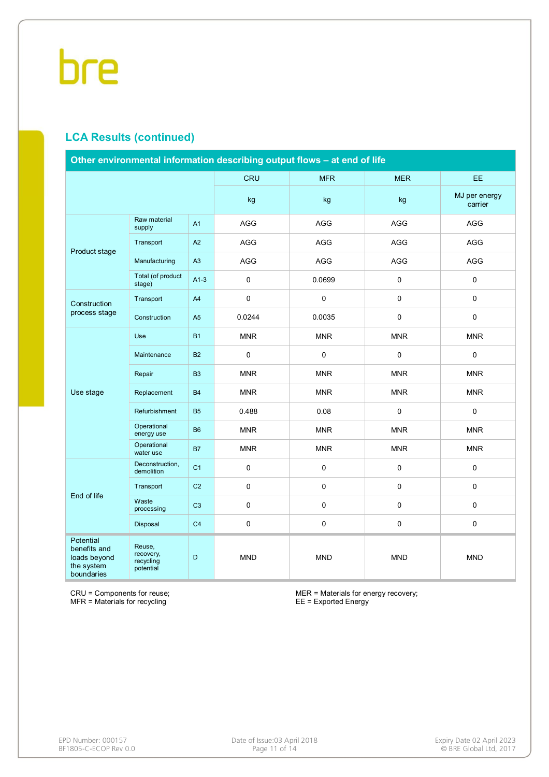## **LCA Results (continued)**

| Other environmental information describing output flows - at end of life |                                               |                |            |             |                     |                          |  |  |
|--------------------------------------------------------------------------|-----------------------------------------------|----------------|------------|-------------|---------------------|--------------------------|--|--|
|                                                                          |                                               |                | <b>CRU</b> | <b>MFR</b>  | <b>MER</b>          | EE.                      |  |  |
|                                                                          |                                               |                | kg         | kg          | kg                  | MJ per energy<br>carrier |  |  |
|                                                                          | Raw material<br>supply                        | A1             | AGG        | AGG         | <b>AGG</b>          | AGG                      |  |  |
|                                                                          | Transport                                     | A2             | AGG        | AGG         | AGG                 | AGG                      |  |  |
| Product stage                                                            | Manufacturing                                 | A3             | AGG        | <b>AGG</b>  | <b>AGG</b>          | <b>AGG</b>               |  |  |
|                                                                          | Total (of product<br>stage)                   | $A1-3$         | 0          | 0.0699      | $\mathsf{O}\xspace$ | $\mathbf 0$              |  |  |
| Construction<br>process stage                                            | Transport                                     | A <sub>4</sub> | 0          | $\pmb{0}$   | $\mathsf{O}\xspace$ | $\mathbf 0$              |  |  |
|                                                                          | Construction                                  | A <sub>5</sub> | 0.0244     | 0.0035      | $\mathsf{O}\xspace$ | $\pmb{0}$                |  |  |
|                                                                          | Use                                           | <b>B1</b>      | <b>MNR</b> | <b>MNR</b>  | <b>MNR</b>          | <b>MNR</b>               |  |  |
|                                                                          | Maintenance                                   | <b>B2</b>      | 0          | $\mathbf 0$ | $\mathsf{O}\xspace$ | $\mathbf 0$              |  |  |
|                                                                          | Repair                                        | <b>B3</b>      | <b>MNR</b> | <b>MNR</b>  | <b>MNR</b>          | <b>MNR</b>               |  |  |
| Use stage                                                                | Replacement                                   | <b>B4</b>      | <b>MNR</b> | <b>MNR</b>  | <b>MNR</b>          | <b>MNR</b>               |  |  |
|                                                                          | Refurbishment                                 | <b>B5</b>      | 0.488      | 0.08        | $\mathsf{O}\xspace$ | $\mathbf 0$              |  |  |
|                                                                          | Operational<br>energy use                     | <b>B6</b>      | <b>MNR</b> | <b>MNR</b>  | <b>MNR</b>          | <b>MNR</b>               |  |  |
|                                                                          | Operational<br>water use                      | <b>B7</b>      | <b>MNR</b> | <b>MNR</b>  | <b>MNR</b>          | <b>MNR</b>               |  |  |
|                                                                          | Deconstruction,<br>demolition                 | C <sub>1</sub> | 0          | $\pmb{0}$   | $\mathsf{O}\xspace$ | $\pmb{0}$                |  |  |
| End of life                                                              | Transport                                     | C <sub>2</sub> | 0          | $\pmb{0}$   | $\mathsf{O}\xspace$ | $\mathbf 0$              |  |  |
|                                                                          | Waste<br>processing                           | C <sub>3</sub> | 0          | $\pmb{0}$   | $\mathsf{O}\xspace$ | $\mathbf 0$              |  |  |
|                                                                          | Disposal                                      | C <sub>4</sub> | 0          | $\mathsf 0$ | $\mathsf 0$         | $\mathsf 0$              |  |  |
| Potential<br>benefits and<br>loads beyond<br>the system<br>boundaries    | Reuse,<br>recovery,<br>recycling<br>potential | D              | <b>MND</b> | <b>MND</b>  | <b>MND</b>          | <b>MND</b>               |  |  |

CRU = Components for reuse; MFR = Materials for recycling

MER = Materials for energy recovery; EE = Exported Energy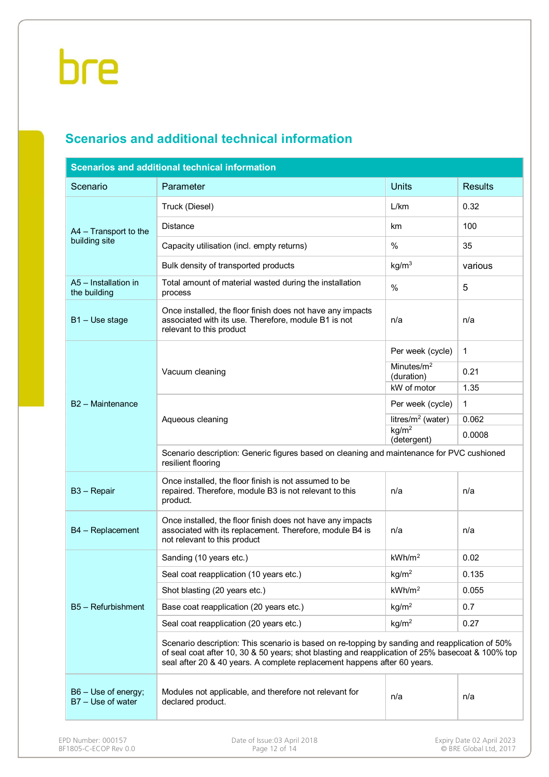# **Scenarios and additional technical information**

| <b>Scenarios and additional technical information</b> |                                                                                                                                                                                                                                                                                |                                  |                |  |  |  |  |  |  |
|-------------------------------------------------------|--------------------------------------------------------------------------------------------------------------------------------------------------------------------------------------------------------------------------------------------------------------------------------|----------------------------------|----------------|--|--|--|--|--|--|
| Scenario                                              | Parameter                                                                                                                                                                                                                                                                      | <b>Units</b>                     | <b>Results</b> |  |  |  |  |  |  |
|                                                       | Truck (Diesel)                                                                                                                                                                                                                                                                 | L/km                             | 0.32           |  |  |  |  |  |  |
| A4 - Transport to the                                 | <b>Distance</b>                                                                                                                                                                                                                                                                | km                               | 100            |  |  |  |  |  |  |
| building site                                         | Capacity utilisation (incl. empty returns)                                                                                                                                                                                                                                     | %                                | 35             |  |  |  |  |  |  |
|                                                       | Bulk density of transported products                                                                                                                                                                                                                                           | kg/m <sup>3</sup>                | various        |  |  |  |  |  |  |
| A5 - Installation in<br>the building                  | Total amount of material wasted during the installation<br>process                                                                                                                                                                                                             | %                                | 5              |  |  |  |  |  |  |
| B <sub>1</sub> – Use stage                            | Once installed, the floor finish does not have any impacts<br>associated with its use. Therefore, module B1 is not<br>relevant to this product                                                                                                                                 | n/a                              | n/a            |  |  |  |  |  |  |
|                                                       |                                                                                                                                                                                                                                                                                | Per week (cycle)                 | $\mathbf{1}$   |  |  |  |  |  |  |
|                                                       | Vacuum cleaning                                                                                                                                                                                                                                                                | Minutes/ $m2$<br>(duration)      | 0.21           |  |  |  |  |  |  |
|                                                       |                                                                                                                                                                                                                                                                                | kW of motor                      | 1.35           |  |  |  |  |  |  |
| B2 - Maintenance                                      |                                                                                                                                                                                                                                                                                | Per week (cycle)                 | 1              |  |  |  |  |  |  |
|                                                       | Aqueous cleaning                                                                                                                                                                                                                                                               | litres/ $m^2$ (water)            | 0.062          |  |  |  |  |  |  |
|                                                       |                                                                                                                                                                                                                                                                                | kg/m <sup>2</sup><br>(detergent) | 0.0008         |  |  |  |  |  |  |
|                                                       | Scenario description: Generic figures based on cleaning and maintenance for PVC cushioned<br>resilient flooring                                                                                                                                                                |                                  |                |  |  |  |  |  |  |
| B <sub>3</sub> - Repair                               | Once installed, the floor finish is not assumed to be<br>repaired. Therefore, module B3 is not relevant to this<br>product.                                                                                                                                                    | n/a                              | n/a            |  |  |  |  |  |  |
| B4 - Replacement                                      | Once installed, the floor finish does not have any impacts<br>associated with its replacement. Therefore, module B4 is<br>not relevant to this product                                                                                                                         | n/a                              | n/a            |  |  |  |  |  |  |
|                                                       | Sanding (10 years etc.)                                                                                                                                                                                                                                                        | kWh/m <sup>2</sup>               | 0.02           |  |  |  |  |  |  |
|                                                       | Seal coat reapplication (10 years etc.)                                                                                                                                                                                                                                        | kg/m <sup>2</sup>                | 0.135          |  |  |  |  |  |  |
|                                                       | Shot blasting (20 years etc.)                                                                                                                                                                                                                                                  | kWh/m <sup>2</sup>               | 0.055          |  |  |  |  |  |  |
| B5 - Refurbishment                                    | Base coat reapplication (20 years etc.)                                                                                                                                                                                                                                        | kg/m <sup>2</sup>                | 0.7            |  |  |  |  |  |  |
|                                                       | Seal coat reapplication (20 years etc.)                                                                                                                                                                                                                                        | kg/m <sup>2</sup>                | 0.27           |  |  |  |  |  |  |
|                                                       | Scenario description: This scenario is based on re-topping by sanding and reapplication of 50%<br>of seal coat after 10, 30 & 50 years; shot blasting and reapplication of 25% basecoat & 100% top<br>seal after 20 & 40 years. A complete replacement happens after 60 years. |                                  |                |  |  |  |  |  |  |
| B6 - Use of energy;<br>B7 - Use of water              | Modules not applicable, and therefore not relevant for<br>declared product.                                                                                                                                                                                                    | n/a                              | n/a            |  |  |  |  |  |  |
|                                                       |                                                                                                                                                                                                                                                                                |                                  |                |  |  |  |  |  |  |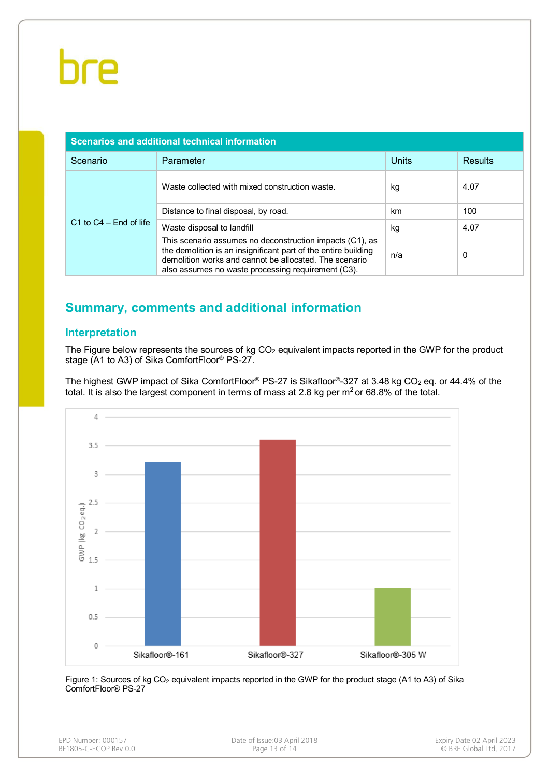| Scenarios and additional technical information |                                                                                                                                                                                                                                            |       |                |
|------------------------------------------------|--------------------------------------------------------------------------------------------------------------------------------------------------------------------------------------------------------------------------------------------|-------|----------------|
| Scenario                                       | Parameter                                                                                                                                                                                                                                  | Units | <b>Results</b> |
| $C1$ to $C4 - End$ of life                     | Waste collected with mixed construction waste.                                                                                                                                                                                             | kg    | 4.07           |
|                                                | Distance to final disposal, by road.                                                                                                                                                                                                       | km    | 100            |
|                                                | Waste disposal to landfill                                                                                                                                                                                                                 | kg    | 4.07           |
|                                                | This scenario assumes no deconstruction impacts (C1), as<br>the demolition is an insignificant part of the entire building<br>demolition works and cannot be allocated. The scenario<br>also assumes no waste processing requirement (C3). | n/a   | 0              |

# **Summary, comments and additional information**

### **Interpretation**

The Figure below represents the sources of kg  $CO<sub>2</sub>$  equivalent impacts reported in the GWP for the product stage (A1 to A3) of Sika ComfortFloor® PS-27.

The highest GWP impact of Sika ComfortFloor® PS-27 is Sikafloor®-327 at 3.48 kg CO<sub>2</sub> eq. or 44.4% of the total. It is also the largest component in terms of mass at 2.8 kg per  $m<sup>2</sup>$  or 68.8% of the total.



Figure 1: Sources of kg CO<sub>2</sub> equivalent impacts reported in the GWP for the product stage (A1 to A3) of Sika ComfortFloor® PS-27

| EPD Number: 000157    |
|-----------------------|
| BF1805-C-ECOP Rev 0.0 |